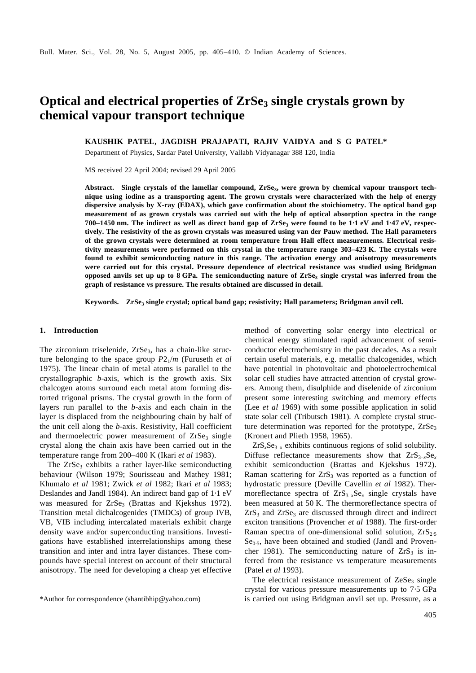# **Optical and electrical properties of ZrSe3 single crystals grown by chemical vapour transport technique**

**KAUSHIK PATEL, JAGDISH PRAJAPATI, RAJIV VAIDYA and S G PATEL\***

Department of Physics, Sardar Patel University, Vallabh Vidyanagar 388 120, India

MS received 22 April 2004; revised 29 April 2005

**Abstract. Single crystals of the lamellar compound, ZrSe<sup>3</sup> , were grown by chemical vapour transport technique using iodine as a transporting agent. The grown crystals were characterized with the help of energy dispersive analysis by X-ray (EDAX), which gave confirmation about the stoichiometry. The optical band gap measurement of as grown crystals was carried out with the help of optical absorption spectra in the range 700–1450 nm. The indirect as well as direct band gap of ZrSe<sup>3</sup> were found to be 1**⋅**1 eV and 1**⋅**47 eV, respectively. The resistivity of the as grown crystals was measured using van der Pauw method. The Hall parameters of the grown crystals were determined at room temperature from Hall effect measurements. Electrical resistivity measurements were performed on this crystal in the temperature range 303–423 K. The crystals were found to exhibit semiconducting nature in this range. The activation energy and anisotropy measurements were carried out for this crystal. Pressure dependence of electrical resistance was studied using Bridgman opposed anvils set up up to 8 GPa. The semiconducting nature of ZrSe<sup>3</sup> single crystal was inferred from the graph of resistance vs pressure. The results obtained are discussed in detail.**

**Keywords. ZrSe<sup>3</sup> single crystal; optical band gap; resistivity; Hall parameters; Bridgman anvil cell.**

## **1. Introduction**

The zirconium triselenide,  $ZrSe<sub>3</sub>$ , has a chain-like structure belonging to the space group *P*21/*m* (Furuseth *et al* 1975). The linear chain of metal atoms is parallel to the crystallographic *b*-axis, which is the growth axis. Six chalcogen atoms surround each metal atom forming distorted trigonal prisms. The crystal growth in the form of layers run parallel to the *b*-axis and each chain in the layer is displaced from the neighbouring chain by half of the unit cell along the *b*-axis. Resistivity, Hall coefficient and thermoelectric power measurement of  $ZrSe<sub>3</sub>$  single crystal along the chain axis have been carried out in the temperature range from 200–400 K (Ikari *et al* 1983).

The  $ZrSe_3$  exhibits a rather layer-like semiconducting behaviour (Wilson 1979; Sourisseau and Mathey 1981; Khumalo *et al* 1981; Zwick *et al* 1982; Ikari *et al* 1983; Deslandes and Jandl 1984). An indirect band gap of 1⋅1 eV was measured for ZrSe<sub>3</sub> (Brattas and Kjekshus 1972). Transition metal dichalcogenides (TMDCs) of group IVB, VB, VIB including intercalated materials exhibit charge density wave and/or superconducting transitions. Investigations have established interrelationships among these transition and inter and intra layer distances. These compounds have special interest on account of their structural anisotropy. The need for developing a cheap yet effective

method of converting solar energy into electrical or chemical energy stimulated rapid advancement of semiconductor electrochemistry in the past decades. As a result certain useful materials, e.g. metallic chalcogenides, which have potential in photovoltaic and photoelectrochemical solar cell studies have attracted attention of crystal growers. Among them, disulphide and diselenide of zirconium present some interesting switching and memory effects (Lee *et al* 1969) with some possible application in solid state solar cell (Tributsch 1981). A complete crystal structure determination was reported for the prototype,  $ZrSe<sub>3</sub>$ (Kronert and Plieth 1958, 1965).

 $ZrS_xSe_{3-x}$  exhibits continuous regions of solid solubility. Diffuse reflectance measurements show that  $ZrS_{3-x}Se_r$ exhibit semiconduction (Brattas and Kjekshus 1972). Raman scattering for  $ZrS<sub>3</sub>$  was reported as a function of hydrostatic pressure (Deville Cavellin *et al* 1982). Thermoreflectance spectra of  $ZrS_{3-x}Se_x$  single crystals have been measured at 50 K. The thermoreflectance spectra of  $ZrS<sub>3</sub>$  and  $ZrSe<sub>3</sub>$  are discussed through direct and indirect exciton transitions (Provencher *et al* 1988). The first-order Raman spectra of one-dimensional solid solution,  $ZrS<sub>2.5</sub>$  $Se<sub>0.5</sub>$ , have been obtained and studied (Jandl and Provencher 1981). The semiconducting nature of  $ZrS<sub>3</sub>$  is inferred from the resistance vs temperature measurements (Patel *et al* 1993).

The electrical resistance measurement of  $ZeSe<sub>3</sub>$  single crystal for various pressure measurements up to 7⋅5 GPa \*Author for correspondence (shantibhip@yahoo.com) is carried out using Bridgman anvil set up. Pressure, as a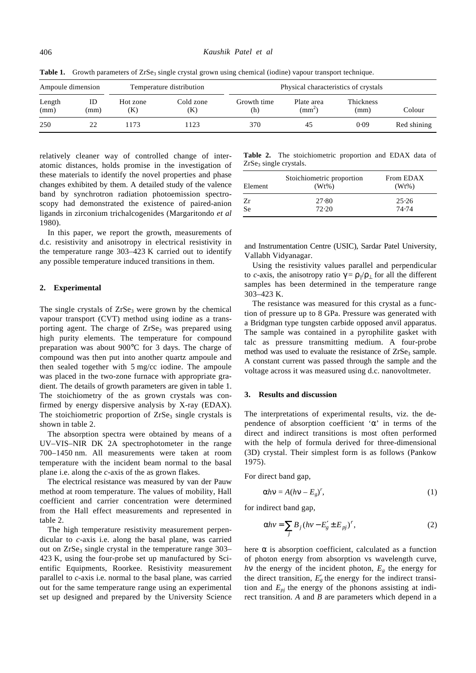| Ampoule dimension |            | Temperature distribution |                  | Physical characteristics of crystals |                            |                   |             |
|-------------------|------------|--------------------------|------------------|--------------------------------------|----------------------------|-------------------|-------------|
| Length<br>(mm)    | ID<br>(mm) | Hot zone<br>(K)          | Cold zone<br>(K) | Growth time<br>(h)                   | Plate area<br>$\text{m}^2$ | Thickness<br>(mm) | Colour      |
| 250               | 22         | 1173                     | 123              | 370                                  | 45                         | 0.09              | Red shining |

Table 1. Growth parameters of ZrSe<sub>3</sub> single crystal grown using chemical (iodine) vapour transport technique.

relatively cleaner way of controlled change of interatomic distances, holds promise in the investigation of these materials to identify the novel properties and phase changes exhibited by them. A detailed study of the valence band by synchrotron radiation photoemission spectroscopy had demonstrated the existence of paired-anion ligands in zirconium trichalcogenides (Margaritondo *et al* 1980).

In this paper, we report the growth, measurements of d.c. resistivity and anisotropy in electrical resistivity in the temperature range 303–423 K carried out to identify any possible temperature induced transitions in them.

### **2. Experimental**

The single crystals of  $ZrSe_3$  were grown by the chemical vapour transport (CVT) method using iodine as a transporting agent. The charge of  $ZrSe_3$  was prepared using high purity elements. The temperature for compound preparation was about 900°C for 3 days. The charge of compound was then put into another quartz ampoule and then sealed together with 5 mg/cc iodine. The ampoule was placed in the two-zone furnace with appropriate gradient. The details of growth parameters are given in table 1. The stoichiometry of the as grown crystals was confirmed by energy dispersive analysis by X-ray (EDAX). The stoichiometric proportion of  $ZrSe<sub>3</sub>$  single crystals is shown in table 2.

The absorption spectra were obtained by means of a UV–VIS–NIR DK 2A spectrophotometer in the range 700–1450 nm. All measurements were taken at room temperature with the incident beam normal to the basal plane i.e. along the *c*-axis of the as grown flakes.

The electrical resistance was measured by van der Pauw method at room temperature. The values of mobility, Hall coefficient and carrier concentration were determined from the Hall effect measurements and represented in table 2.

The high temperature resistivity measurement perpendicular to *c*-axis i.e. along the basal plane, was carried out on  $ZrSe<sub>3</sub>$  single crystal in the temperature range 303– 423 K, using the four-probe set up manufactured by Scientific Equipments, Roorkee. Resistivity measurement parallel to *c*-axis i.e. normal to the basal plane, was carried out for the same temperature range using an experimental set up designed and prepared by the University Science

**Table 2.** The stoichiometric proportion and EDAX data of ZrSe<sub>3</sub> single crystals.

| Element   | Stoichiometric proportion<br>$(Wt\%)$ | From EDAX<br>$(Wt\%)$ |
|-----------|---------------------------------------|-----------------------|
| Zr        | 27.80                                 | 25.26                 |
| <b>Se</b> | 72.20                                 | 74.74                 |

and Instrumentation Centre (USIC), Sardar Patel University, Vallabh Vidyanagar.

Using the resistivity values parallel and perpendicular to *c*-axis, the anisotropy ratio  $g = r_{\parallel}/r_{\perp}$  for all the different samples has been determined in the temperature range 303–423 K.

The resistance was measured for this crystal as a function of pressure up to 8 GPa. Pressure was generated with a Bridgman type tungsten carbide opposed anvil apparatus. The sample was contained in a pyrophilite gasket with talc as pressure transmitting medium. A four-probe method was used to evaluate the resistance of  $ZrSe<sub>3</sub>$  sample. A constant current was passed through the sample and the voltage across it was measured using d.c. nanovoltmeter.

#### **3. Results and discussion**

The interpretations of experimental results, viz. the dependence of absorption coefficient '*a*' in terms of the direct and indirect transitions is most often performed with the help of formula derived for three-dimensional (3D) crystal. Their simplest form is as follows (Pankow 1975).

For direct band gap,

$$
a h \mathbf{n} = A (h \mathbf{n} - E_g)^r, \tag{1}
$$

for indirect band gap,

$$
\mathbf{a}h\mathbf{v} = \sum_{j} B_{j} (h\mathbf{v} - E'_{g} \pm E_{pj})^{r}, \tag{2}
$$

here *a* is absorption coefficient, calculated as a function of photon energy from absorption vs wavelength curve, *hn* the energy of the incident photon,  $E_g$  the energy for the direct transition,  $E'_{g}$  the energy for the indirect transition and  $E_{pj}$  the energy of the phonons assisting at indirect transition. *A* and *B* are parameters which depend in a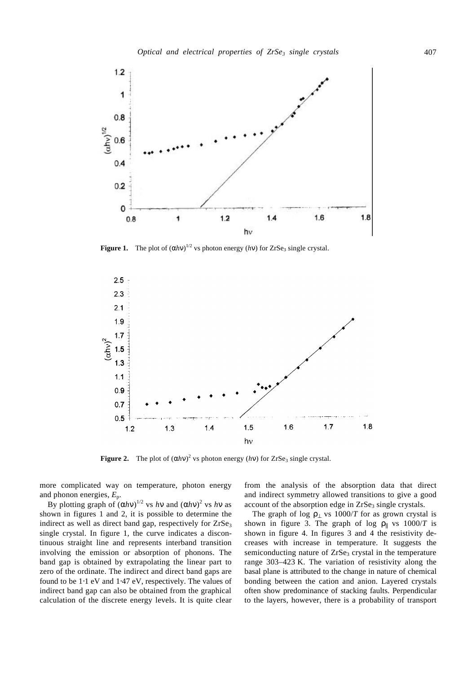

**Figure 1.** The plot of  $(ahn)^{1/2}$  vs photon energy  $(hn)$  for ZrSe<sub>3</sub> single crystal.



**Figure 2.** The plot of  $(ahn)^2$  vs photon energy  $(hn)$  for ZrSe<sub>3</sub> single crystal.

more complicated way on temperature, photon energy and phonon energies, *E*p.

By plotting graph of  $(ahn)^{1/2}$  vs *hn* and  $(ahn)^2$  vs *hn* as shown in figures 1 and 2, it is possible to determine the indirect as well as direct band gap, respectively for ZrSe<sub>3</sub> single crystal. In figure 1, the curve indicates a discontinuous straight line and represents interband transition involving the emission or absorption of phonons. The band gap is obtained by extrapolating the linear part to zero of the ordinate. The indirect and direct band gaps are found to be 1⋅1 eV and 1⋅47 eV, respectively. The values of indirect band gap can also be obtained from the graphical calculation of the discrete energy levels. It is quite clear

from the analysis of the absorption data that direct and indirect symmetry allowed transitions to give a good account of the absorption edge in  $ZrSe<sub>3</sub>$  single crystals.

The graph of log  $r_{\perp}$  vs 1000/*T* for as grown crystal is shown in figure 3. The graph of log  $r_{\parallel}$  vs 1000/*T* is shown in figure 4. In figures 3 and 4 the resistivity decreases with increase in temperature. It suggests the semiconducting nature of ZrSe<sub>3</sub> crystal in the temperature range 303–423 K. The variation of resistivity along the basal plane is attributed to the change in nature of chemical bonding between the cation and anion. Layered crystals often show predominance of stacking faults. Perpendicular to the layers, however, there is a probability of transport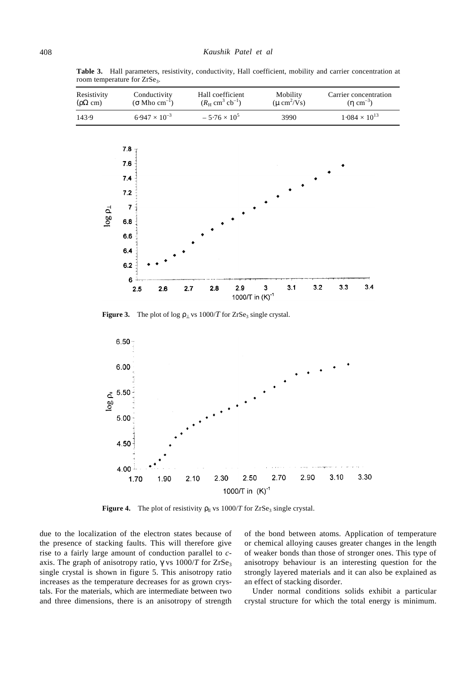**Table 3.** Hall parameters, resistivity, conductivity, Hall coefficient, mobility and carrier concentration at room temperature for ZrSe<sub>3</sub>.



**Figure 3.** The plot of log  $r_1$  vs 1000/*T* for ZrSe<sub>3</sub> single crystal.



**Figure 4.** The plot of resistivity  $r_{\parallel}$  vs 1000/*T* for ZrSe<sub>3</sub> single crystal.

due to the localization of the electron states because of the presence of stacking faults. This will therefore give rise to a fairly large amount of conduction parallel to *c*axis. The graph of anisotropy ratio,  $g$  vs  $1000/T$  for  $ZrSe<sub>3</sub>$ single crystal is shown in figure 5. This anisotropy ratio increases as the temperature decreases for as grown crystals. For the materials, which are intermediate between two and three dimensions, there is an anisotropy of strength

of the bond between atoms. Application of temperature or chemical alloying causes greater changes in the length of weaker bonds than those of stronger ones. This type of anisotropy behaviour is an interesting question for the strongly layered materials and it can also be explained as an effect of stacking disorder.

Under normal conditions solids exhibit a particular crystal structure for which the total energy is minimum.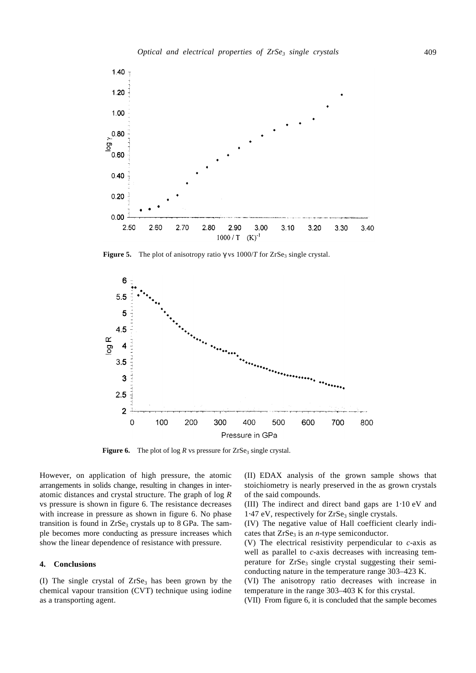

**Figure 5.** The plot of anisotropy ratio  $g$  vs  $1000/T$  for  $ZrSe_3$  single crystal.



**Figure 6.** The plot of  $\log R$  vs pressure for  $\text{ZrSe}_3$  single crystal.

However, on application of high pressure, the atomic arrangements in solids change, resulting in changes in interatomic distances and crystal structure. The graph of log *R* vs pressure is shown in figure 6. The resistance decreases with increase in pressure as shown in figure 6. No phase transition is found in  $ZrSe<sub>3</sub>$  crystals up to 8 GPa. The sample becomes more conducting as pressure increases which show the linear dependence of resistance with pressure.

#### **4. Conclusions**

(I) The single crystal of  $ZrSe<sub>3</sub>$  has been grown by the chemical vapour transition (CVT) technique using iodine as a transporting agent.

(II) EDAX analysis of the grown sample shows that stoichiometry is nearly preserved in the as grown crystals of the said compounds.

(III) The indirect and direct band gaps are 1⋅10 eV and  $1.47$  eV, respectively for  $ZrSe<sub>3</sub>$  single crystals.

(IV) The negative value of Hall coefficient clearly indicates that  $ZrSe<sub>3</sub>$  is an *n*-type semiconductor.

(V) The electrical resistivity perpendicular to *c*-axis as well as parallel to *c*-axis decreases with increasing temperature for  $ZrSe_3$  single crystal suggesting their semiconducting nature in the temperature range 303–423 K.

(VI) The anisotropy ratio decreases with increase in temperature in the range 303–403 K for this crystal.

(VII) From figure 6, it is concluded that the sample becomes